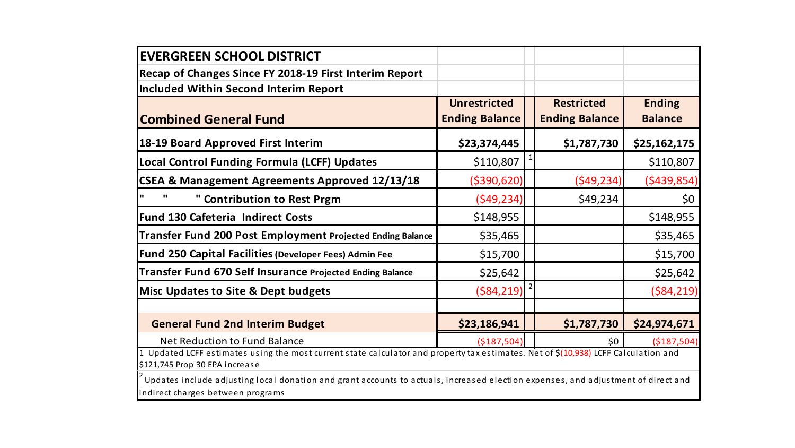| <b>EVERGREEN SCHOOL DISTRICT</b>                                                                                                                                      |                       |  |                       |                |  |  |
|-----------------------------------------------------------------------------------------------------------------------------------------------------------------------|-----------------------|--|-----------------------|----------------|--|--|
| Recap of Changes Since FY 2018-19 First Interim Report                                                                                                                |                       |  |                       |                |  |  |
| <b>Included Within Second Interim Report</b>                                                                                                                          |                       |  |                       |                |  |  |
|                                                                                                                                                                       | <b>Unrestricted</b>   |  | <b>Restricted</b>     | <b>Ending</b>  |  |  |
| <b>Combined General Fund</b>                                                                                                                                          | <b>Ending Balance</b> |  | <b>Ending Balance</b> | <b>Balance</b> |  |  |
| 18-19 Board Approved First Interim                                                                                                                                    | \$23,374,445          |  | \$1,787,730           | \$25,162,175   |  |  |
| Local Control Funding Formula (LCFF) Updates                                                                                                                          | \$110,807             |  |                       | \$110,807      |  |  |
| <b>CSEA &amp; Management Agreements Approved 12/13/18</b>                                                                                                             | ( \$390, 620)         |  | (549, 234)            | (5439, 854)    |  |  |
| " Contribution to Rest Prgm                                                                                                                                           | (549, 234)            |  | \$49,234              | \$0\$          |  |  |
| <b>Fund 130 Cafeteria Indirect Costs</b>                                                                                                                              | \$148,955             |  |                       | \$148,955      |  |  |
| Transfer Fund 200 Post Employment Projected Ending Balance                                                                                                            | \$35,465              |  |                       | \$35,465       |  |  |
| Fund 250 Capital Facilities (Developer Fees) Admin Fee                                                                                                                | \$15,700              |  |                       | \$15,700       |  |  |
| Transfer Fund 670 Self Insurance Projected Ending Balance                                                                                                             | \$25,642              |  |                       | \$25,642       |  |  |
| <b>Misc Updates to Site &amp; Dept budgets</b>                                                                                                                        | ( \$84, 219)          |  |                       | ( \$84, 219)   |  |  |
|                                                                                                                                                                       |                       |  |                       |                |  |  |
| <b>General Fund 2nd Interim Budget</b>                                                                                                                                | \$23,186,941          |  | \$1,787,730           | \$24,974,671   |  |  |
| Net Reduction to Fund Balance                                                                                                                                         | (\$187,504)           |  | \$0                   | (\$187,504)    |  |  |
| 1 Updated LCFF estimates using the most current state calculator and property tax estimates. Net of \$(10,938) LCFF Calculation and<br>\$121,745 Prop 30 EPA increase |                       |  |                       |                |  |  |
| $^\texttt{t}$ Updates include adjusting local donation and grant accounts to actuals, increased election expenses, and adjustment of direct and                       |                       |  |                       |                |  |  |

indirect charges between programs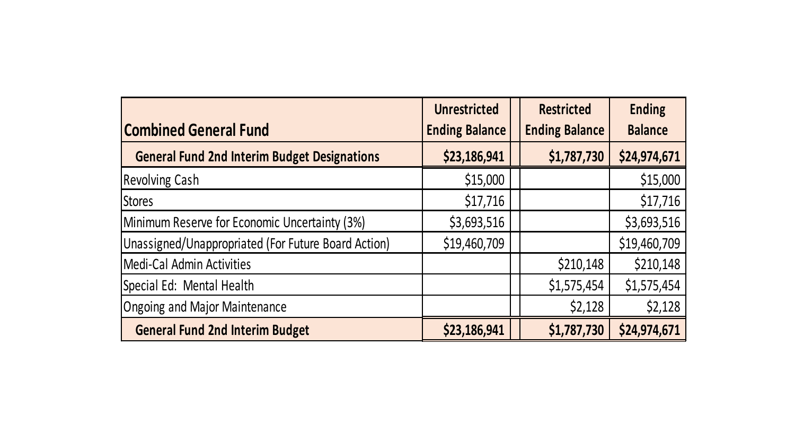|                                                     | <b>Unrestricted</b>   | <b>Restricted</b>     | <b>Ending</b>  |
|-----------------------------------------------------|-----------------------|-----------------------|----------------|
| <b>Combined General Fund</b>                        | <b>Ending Balance</b> | <b>Ending Balance</b> | <b>Balance</b> |
| <b>General Fund 2nd Interim Budget Designations</b> | \$23,186,941          | \$1,787,730           | \$24,974,671   |
| <b>Revolving Cash</b>                               | \$15,000              |                       | \$15,000       |
| <b>IStores</b>                                      | \$17,716              |                       | \$17,716       |
| Minimum Reserve for Economic Uncertainty (3%)       | \$3,693,516           |                       | \$3,693,516    |
| Unassigned/Unappropriated (For Future Board Action) | \$19,460,709          |                       | \$19,460,709   |
| Medi-Cal Admin Activities                           |                       | \$210,148             | \$210,148      |
| Special Ed: Mental Health                           |                       | \$1,575,454           | \$1,575,454    |
| Ongoing and Major Maintenance                       |                       | \$2,128               | \$2,128        |
| <b>General Fund 2nd Interim Budget</b>              | \$23,186,941          | \$1,787,730           | \$24,974,671   |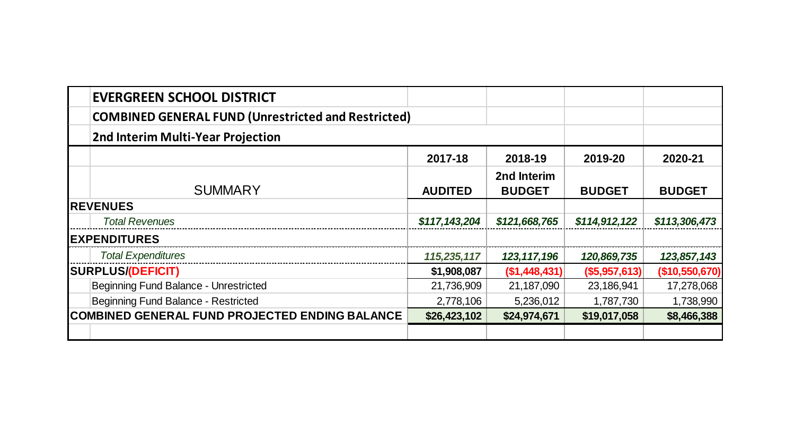| <b>EVERGREEN SCHOOL DISTRICT</b>                           |                |                              |                      |                |
|------------------------------------------------------------|----------------|------------------------------|----------------------|----------------|
| <b>COMBINED GENERAL FUND (Unrestricted and Restricted)</b> |                |                              |                      |                |
| 2nd Interim Multi-Year Projection                          |                |                              |                      |                |
|                                                            | 2017-18        | 2018-19                      | 2019-20              | 2020-21        |
| <b>SUMMARY</b>                                             | <b>AUDITED</b> | 2nd Interim<br><b>BUDGET</b> | <b>BUDGET</b>        | <b>BUDGET</b>  |
| <b>REVENUES</b>                                            |                |                              |                      |                |
| <b>Total Revenues</b>                                      | \$117,143,204  | \$121,668,765                | \$114,912,122        | \$113,306,473  |
| <b>EXPENDITURES</b>                                        |                |                              |                      |                |
| <b>Total Expenditures</b>                                  | 115,235,117    | 123, 117, 196                | 120,869,735          | 123,857,143    |
| <b>SURPLUS/(DEFICIT)</b>                                   | \$1,908,087    | (S1, 448, 431)               | $($ \$5,957,613) $ $ | (\$10,550,670) |
| Beginning Fund Balance - Unrestricted                      | 21,736,909     | 21,187,090                   | 23,186,941           | 17,278,068     |
| Beginning Fund Balance - Restricted                        | 2,778,106      | 5,236,012                    | 1,787,730            | 1,738,990      |
| <b>COMBINED GENERAL FUND PROJECTED ENDING BALANCE</b>      | \$26,423,102   | \$24,974,671                 | \$19,017,058         | \$8,466,388    |
|                                                            |                |                              |                      |                |